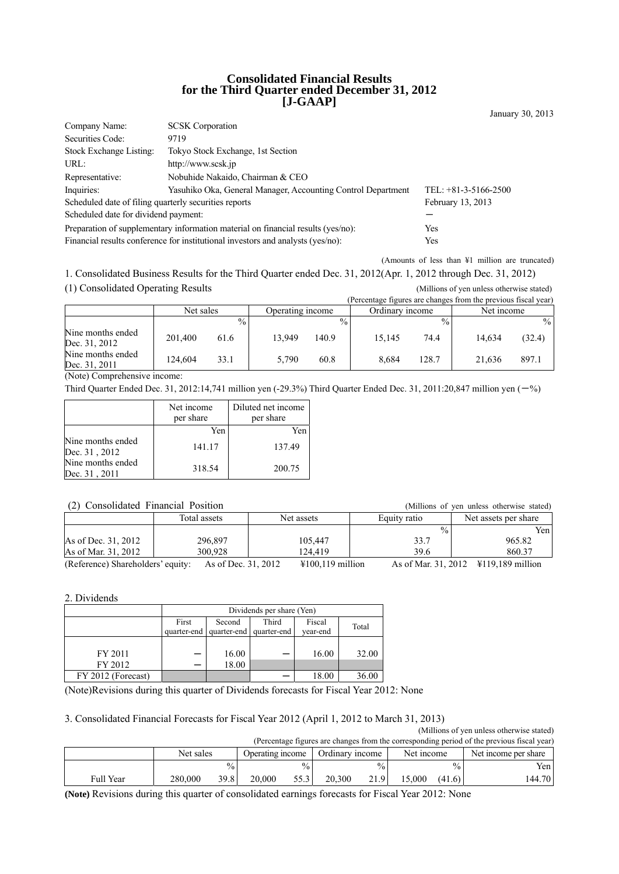### **Consolidated Financial Results for the Third Quarter ended December 31, 2012 [J-GAAP]**

| Company Name:                                                                           | <b>SCSK</b> Corporation                                      |                        |  |  |
|-----------------------------------------------------------------------------------------|--------------------------------------------------------------|------------------------|--|--|
| Securities Code:                                                                        | 9719                                                         |                        |  |  |
| Stock Exchange Listing:                                                                 | Tokyo Stock Exchange, 1st Section                            |                        |  |  |
| URL:                                                                                    | http://www.scsk.jp                                           |                        |  |  |
| Representative:                                                                         | Nobuhide Nakaido, Chairman & CEO                             |                        |  |  |
| Inquiries:                                                                              | Yasuhiko Oka, General Manager, Accounting Control Department | TEL: $+81-3-5166-2500$ |  |  |
| Scheduled date of filing quarterly securities reports                                   | February 13, 2013                                            |                        |  |  |
| Scheduled date for dividend payment:                                                    |                                                              |                        |  |  |
| Preparation of supplementary information material on financial results (yes/no):<br>Yes |                                                              |                        |  |  |
| Financial results conference for institutional investors and analysts (yes/no):         | Yes                                                          |                        |  |  |

(Amounts of less than ¥1 million are truncated)

January 30, 2013

1. Consolidated Business Results for the Third Quarter ended Dec. 31, 2012(Apr. 1, 2012 through Dec. 31, 2012) (1) Consolidated Operating Results (Millions of yen unless otherwise stated)

|                                    |           |               |                  |               |                 |                 | (Percentage figures are changes from the previous fiscal year) |        |
|------------------------------------|-----------|---------------|------------------|---------------|-----------------|-----------------|----------------------------------------------------------------|--------|
|                                    | Net sales |               | Operating income |               | Ordinary income |                 | Net income                                                     |        |
|                                    |           | $\frac{0}{0}$ |                  | $\frac{0}{0}$ |                 | $\frac{0}{0}$ . |                                                                | $\%$   |
| Nine months ended<br>Dec. 31, 2012 | 201.400   | 61.6          | 13.949           | 140.9         | 15.145          | 74.4            | 14.634                                                         | (32.4) |
| Nine months ended<br>Dec. 31, 2011 | 124.604   | 33.1          | 5.790            | 60.8          | 8.684           | 128.7           | 21.636                                                         | 897.1  |

(Note) Comprehensive income:

Third Quarter Ended Dec. 31, 2012:14,741 million yen (-29.3%) Third Quarter Ended Dec. 31, 2011:20,847 million yen  $(-%)$ 

|                                    | Net income<br>per share | Diluted net income<br>per share |
|------------------------------------|-------------------------|---------------------------------|
|                                    | Yen                     | Yen                             |
| Nine months ended<br>Dec. 31, 2012 | 141.17                  | 137.49                          |
| Nine months ended<br>Dec. 31, 2011 | 318.54                  | 200.75                          |

### (2) Consolidated Financial Position (Millions of yen unless otherwise stated)

| $(2)$ Consondated Financial Fostion |                     |                            | (Millions of year unless otherwise stated) |                                               |
|-------------------------------------|---------------------|----------------------------|--------------------------------------------|-----------------------------------------------|
|                                     | Total assets        | Net assets                 | Equity ratio                               | Net assets per share                          |
|                                     |                     |                            | $\frac{0}{0}$                              | Yen                                           |
| As of Dec. 31, 2012                 | 296,897             | 105.447                    | 33.7                                       | 965.82                                        |
| As of Mar. 31, 2012                 | 300.928             | 124.419                    | 39.6                                       | 860.37                                        |
| (Reference) Shareholders' equity:   | As of Dec. 31, 2012 | $\text{\#}100,119$ million |                                            | As of Mar. 31, 2012 \ \ \ \ \ 119,189 million |

2. Dividends

|                    | Dividends per share (Yen) |                         |             |          |       |
|--------------------|---------------------------|-------------------------|-------------|----------|-------|
|                    | First                     | Second                  | Third       | Fiscal   | Total |
|                    |                           | quarter-end quarter-end | quarter-end | vear-end |       |
|                    |                           |                         |             |          |       |
| FY 2011            |                           | 16.00                   | —           | 16.00    | 32.00 |
| FY 2012            |                           | 18.00                   |             |          |       |
| FY 2012 (Forecast) |                           |                         |             | 18.00    | 36.00 |

(Note)Revisions during this quarter of Dividends forecasts for Fiscal Year 2012: None

3. Consolidated Financial Forecasts for Fiscal Year 2012 (April 1, 2012 to March 31, 2013)

(Millions of yen unless otherwise stated) (PERCENT COLUMN CO.) THE SERVICE SERVICE SERVICE SERVICES SERVICES SERVICES SERVICES SERVICES SERVICES FISCAL YEARS

| releasingle rigures are changes from the corresponding period of the previous fiscal year) |           |               |                  |               |                 |               |            |               |                      |
|--------------------------------------------------------------------------------------------|-----------|---------------|------------------|---------------|-----------------|---------------|------------|---------------|----------------------|
|                                                                                            | Net sales |               | Operating income |               | Ordinary income |               | Net income |               | Net income per share |
|                                                                                            |           | $\frac{0}{0}$ |                  | $\frac{0}{0}$ |                 | $\frac{0}{0}$ |            | $\frac{0}{0}$ | Yen i                |
| Full Year                                                                                  | 280,000   | 39.8          | 20.000           | 55.3          | 20.300          | 21.9          | 5.000      | (41.6)        | 144.70               |

**(Note)** Revisions during this quarter of consolidated earnings forecasts for Fiscal Year 2012: None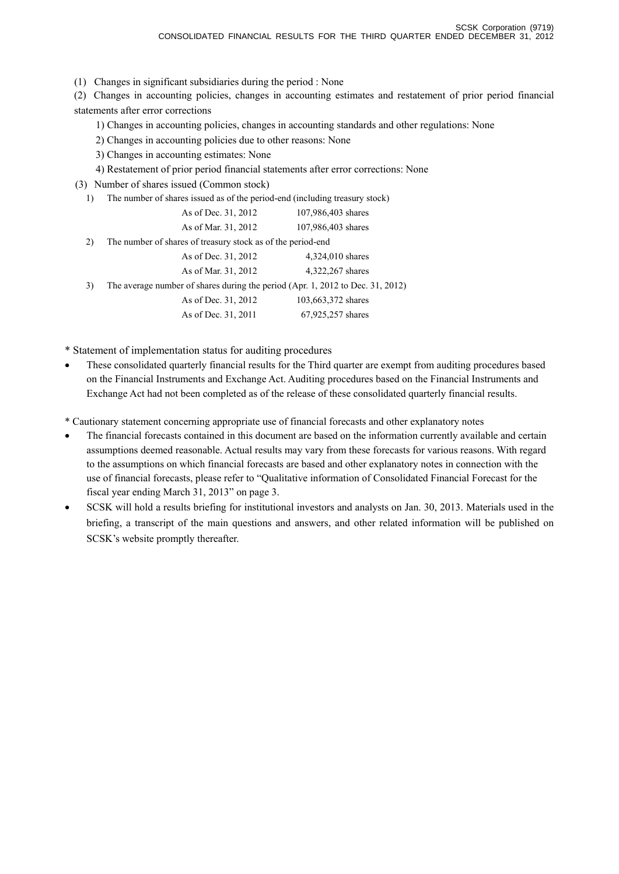(1) Changes in significant subsidiaries during the period : None

(2) Changes in accounting policies, changes in accounting estimates and restatement of prior period financial statements after error corrections

1) Changes in accounting policies, changes in accounting standards and other regulations: None

2) Changes in accounting policies due to other reasons: None

3) Changes in accounting estimates: None

4) Restatement of prior period financial statements after error corrections: None

(3) Number of shares issued (Common stock)

| 1) The number of shares issued as of the period-end (including treasury stock) |  |  |  |  |  |
|--------------------------------------------------------------------------------|--|--|--|--|--|
|--------------------------------------------------------------------------------|--|--|--|--|--|

|    | As of Dec. 31, 2012                                                            | 107,986,403 shares |
|----|--------------------------------------------------------------------------------|--------------------|
|    | As of Mar. 31, 2012                                                            | 107,986,403 shares |
| 2) | The number of shares of treasury stock as of the period-end                    |                    |
|    | As of Dec. 31, 2012                                                            | 4,324,010 shares   |
|    | As of Mar. 31, 2012                                                            | 4,322,267 shares   |
| 3) | The average number of shares during the period (Apr. 1, 2012 to Dec. 31, 2012) |                    |
|    | As of Dec. 31, 2012                                                            | 103,663,372 shares |
|    | As of Dec. 31, 2011                                                            | 67,925,257 shares  |

\* Statement of implementation status for auditing procedures

• These consolidated quarterly financial results for the Third quarter are exempt from auditing procedures based on the Financial Instruments and Exchange Act. Auditing procedures based on the Financial Instruments and Exchange Act had not been completed as of the release of these consolidated quarterly financial results.

\* Cautionary statement concerning appropriate use of financial forecasts and other explanatory notes

- The financial forecasts contained in this document are based on the information currently available and certain assumptions deemed reasonable. Actual results may vary from these forecasts for various reasons. With regard to the assumptions on which financial forecasts are based and other explanatory notes in connection with the use of financial forecasts, please refer to "Qualitative information of Consolidated Financial Forecast for the fiscal year ending March 31, 2013" on page 3.
- SCSK will hold a results briefing for institutional investors and analysts on Jan. 30, 2013. Materials used in the briefing, a transcript of the main questions and answers, and other related information will be published on SCSK's website promptly thereafter.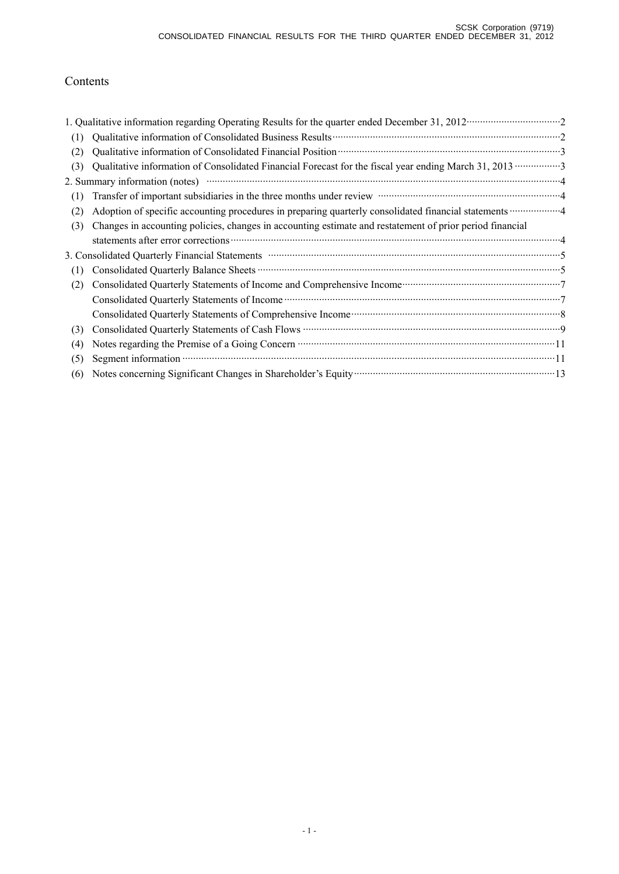# Contents

|     | 1. Qualitative information regarding Operating Results for the quarter ended December 31, 2012 ····························2                                                                       |
|-----|----------------------------------------------------------------------------------------------------------------------------------------------------------------------------------------------------|
| (1) |                                                                                                                                                                                                    |
| (2) |                                                                                                                                                                                                    |
| (3) |                                                                                                                                                                                                    |
|     |                                                                                                                                                                                                    |
| (1) | Transfer of important subsidiaries in the three months under review manufactured and a final substitution of                                                                                       |
| (2) | Adoption of specific accounting procedures in preparing quarterly consolidated financial statements  4                                                                                             |
| (3) | Changes in accounting policies, changes in accounting estimate and restatement of prior period financial                                                                                           |
|     |                                                                                                                                                                                                    |
|     | 3. Consolidated Quarterly Financial Statements manufactured and continuum control of the Statements of Statements                                                                                  |
| (1) |                                                                                                                                                                                                    |
| (2) | Consolidated Quarterly Statements of Income and Comprehensive Income manufacturer and Tonsolidated Quarterly Statements of Income and Comprehensive Income manufacturer and Tonsolidated Quarterly |
|     |                                                                                                                                                                                                    |
|     | Consolidated Quarterly Statements of Comprehensive Income manufactured and a superior of Consolidated Quarterly Statements of Comprehensive Income manufactured and a superior of $\delta$         |
| (3) |                                                                                                                                                                                                    |
| (4) |                                                                                                                                                                                                    |
| (5) |                                                                                                                                                                                                    |
| (6) | Notes concerning Significant Changes in Shareholder's Equity manufactured and the state of 13                                                                                                      |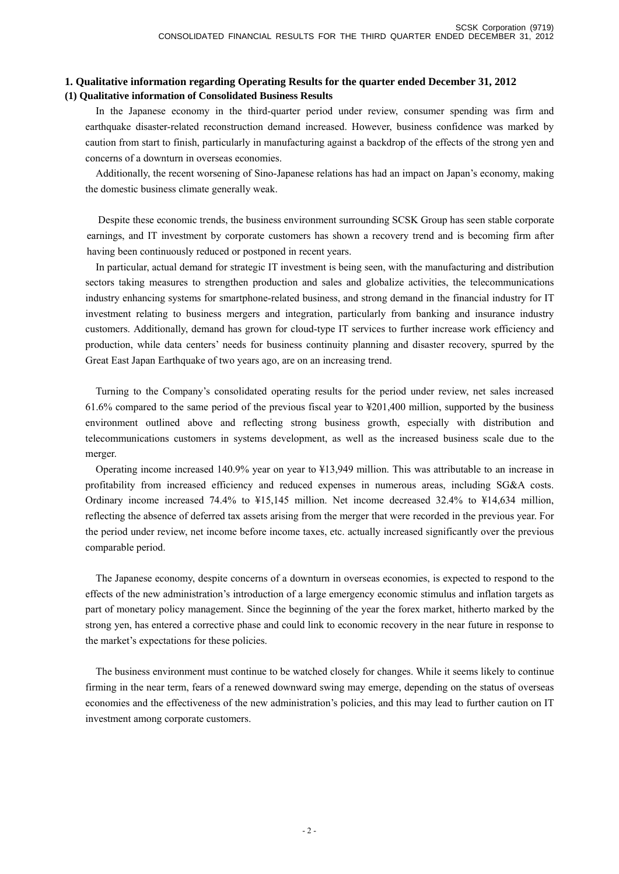### **1. Qualitative information regarding Operating Results for the quarter ended December 31, 2012 (1) Qualitative information of Consolidated Business Results**

In the Japanese economy in the third-quarter period under review, consumer spending was firm and earthquake disaster-related reconstruction demand increased. However, business confidence was marked by caution from start to finish, particularly in manufacturing against a backdrop of the effects of the strong yen and concerns of a downturn in overseas economies.

Additionally, the recent worsening of Sino-Japanese relations has had an impact on Japan's economy, making the domestic business climate generally weak.

Despite these economic trends, the business environment surrounding SCSK Group has seen stable corporate earnings, and IT investment by corporate customers has shown a recovery trend and is becoming firm after having been continuously reduced or postponed in recent years.

In particular, actual demand for strategic IT investment is being seen, with the manufacturing and distribution sectors taking measures to strengthen production and sales and globalize activities, the telecommunications industry enhancing systems for smartphone-related business, and strong demand in the financial industry for IT investment relating to business mergers and integration, particularly from banking and insurance industry customers. Additionally, demand has grown for cloud-type IT services to further increase work efficiency and production, while data centers' needs for business continuity planning and disaster recovery, spurred by the Great East Japan Earthquake of two years ago, are on an increasing trend.

Turning to the Company's consolidated operating results for the period under review, net sales increased 61.6% compared to the same period of the previous fiscal year to ¥201,400 million, supported by the business environment outlined above and reflecting strong business growth, especially with distribution and telecommunications customers in systems development, as well as the increased business scale due to the merger.

Operating income increased 140.9% year on year to ¥13,949 million. This was attributable to an increase in profitability from increased efficiency and reduced expenses in numerous areas, including SG&A costs. Ordinary income increased 74.4% to ¥15,145 million. Net income decreased 32.4% to ¥14,634 million, reflecting the absence of deferred tax assets arising from the merger that were recorded in the previous year. For the period under review, net income before income taxes, etc. actually increased significantly over the previous comparable period.

The Japanese economy, despite concerns of a downturn in overseas economies, is expected to respond to the effects of the new administration's introduction of a large emergency economic stimulus and inflation targets as part of monetary policy management. Since the beginning of the year the forex market, hitherto marked by the strong yen, has entered a corrective phase and could link to economic recovery in the near future in response to the market's expectations for these policies.

The business environment must continue to be watched closely for changes. While it seems likely to continue firming in the near term, fears of a renewed downward swing may emerge, depending on the status of overseas economies and the effectiveness of the new administration's policies, and this may lead to further caution on IT investment among corporate customers.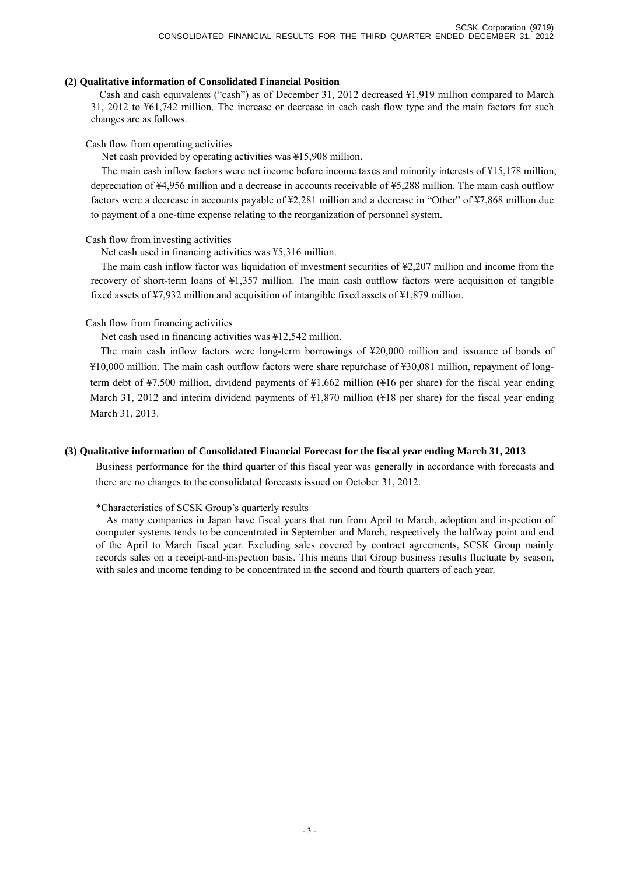### **(2) Qualitative information of Consolidated Financial Position**

Cash and cash equivalents ("cash") as of December 31, 2012 decreased ¥1,919 million compared to March 31, 2012 to ¥61,742 million. The increase or decrease in each cash flow type and the main factors for such changes are as follows.

### Cash flow from operating activities

Net cash provided by operating activities was ¥15,908 million.

The main cash inflow factors were net income before income taxes and minority interests of ¥15,178 million, depreciation of ¥4,956 million and a decrease in accounts receivable of ¥5,288 million. The main cash outflow factors were a decrease in accounts payable of ¥2,281 million and a decrease in "Other" of ¥7,868 million due to payment of a one-time expense relating to the reorganization of personnel system.

### Cash flow from investing activities

Net cash used in financing activities was ¥5,316 million.

The main cash inflow factor was liquidation of investment securities of ¥2,207 million and income from the recovery of short-term loans of ¥1,357 million. The main cash outflow factors were acquisition of tangible fixed assets of ¥7,932 million and acquisition of intangible fixed assets of ¥1,879 million.

## Cash flow from financing activities

Net cash used in financing activities was ¥12,542 million.

The main cash inflow factors were long-term borrowings of ¥20,000 million and issuance of bonds of ¥10,000 million. The main cash outflow factors were share repurchase of ¥30,081 million, repayment of longterm debt of ¥7,500 million, dividend payments of ¥1,662 million (¥16 per share) for the fiscal year ending March 31, 2012 and interim dividend payments of  $\frac{1870 \text{ million}}{418 \text{ per share}}$  for the fiscal year ending March 31, 2013.

## **(3) Qualitative information of Consolidated Financial Forecast for the fiscal year ending March 31, 2013**

Business performance for the third quarter of this fiscal year was generally in accordance with forecasts and there are no changes to the consolidated forecasts issued on October 31, 2012.

### \*Characteristics of SCSK Group's quarterly results

As many companies in Japan have fiscal years that run from April to March, adoption and inspection of computer systems tends to be concentrated in September and March, respectively the halfway point and end of the April to March fiscal year. Excluding sales covered by contract agreements, SCSK Group mainly records sales on a receipt-and-inspection basis. This means that Group business results fluctuate by season, with sales and income tending to be concentrated in the second and fourth quarters of each year.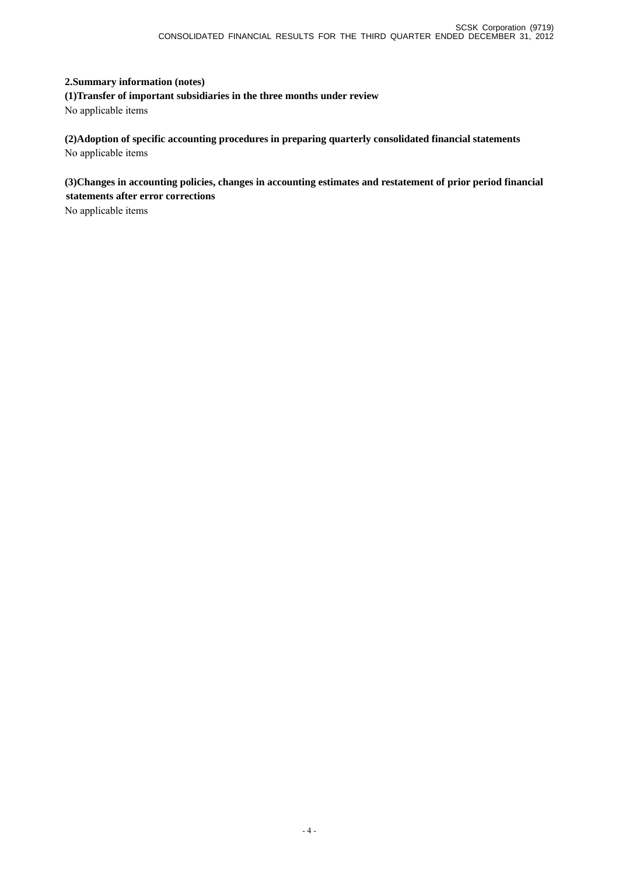# **2.Summary information (notes)**

**(1)Transfer of important subsidiaries in the three months under review**  No applicable items

**(2)Adoption of specific accounting procedures in preparing quarterly consolidated financial statements**  No applicable items

**(3)Changes in accounting policies, changes in accounting estimates and restatement of prior period financial statements after error corrections** 

No applicable items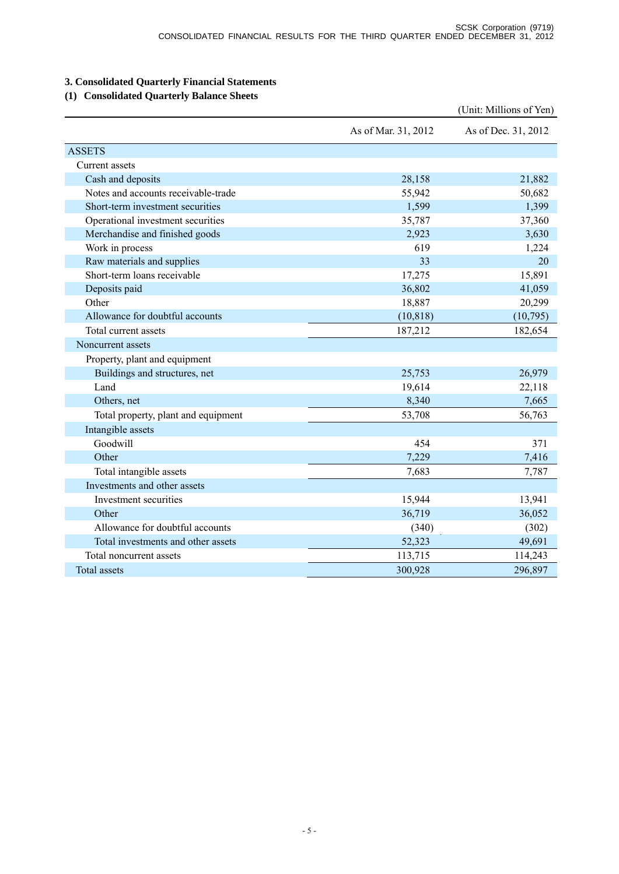# **3. Consolidated Quarterly Financial Statements**

# **(1) Consolidated Quarterly Balance Sheets**

|                                     |                     | (Unit: Millions of Yen) |
|-------------------------------------|---------------------|-------------------------|
|                                     | As of Mar. 31, 2012 | As of Dec. 31, 2012     |
| <b>ASSETS</b>                       |                     |                         |
| Current assets                      |                     |                         |
| Cash and deposits                   | 28,158              | 21,882                  |
| Notes and accounts receivable-trade | 55,942              | 50,682                  |
| Short-term investment securities    | 1,599               | 1,399                   |
| Operational investment securities   | 35,787              | 37,360                  |
| Merchandise and finished goods      | 2,923               | 3,630                   |
| Work in process                     | 619                 | 1,224                   |
| Raw materials and supplies          | 33                  | 20                      |
| Short-term loans receivable         | 17,275              | 15,891                  |
| Deposits paid                       | 36,802              | 41,059                  |
| Other                               | 18,887              | 20,299                  |
| Allowance for doubtful accounts     | (10, 818)           | (10,795)                |
| Total current assets                | 187,212             | 182,654                 |
| Noncurrent assets                   |                     |                         |
| Property, plant and equipment       |                     |                         |
| Buildings and structures, net       | 25,753              | 26,979                  |
| Land                                | 19,614              | 22,118                  |
| Others, net                         | 8,340               | 7,665                   |
| Total property, plant and equipment | 53,708              | 56,763                  |
| Intangible assets                   |                     |                         |
| Goodwill                            | 454                 | 371                     |
| Other                               | 7,229               | 7,416                   |
| Total intangible assets             | 7,683               | 7,787                   |
| Investments and other assets        |                     |                         |
| Investment securities               | 15,944              | 13,941                  |
| Other                               | 36,719              | 36,052                  |
| Allowance for doubtful accounts     | (340)               | (302)                   |
| Total investments and other assets  | 52,323              | 49,691                  |
| Total noncurrent assets             | 113,715             | 114,243                 |
| <b>Total assets</b>                 | 300,928             | 296,897                 |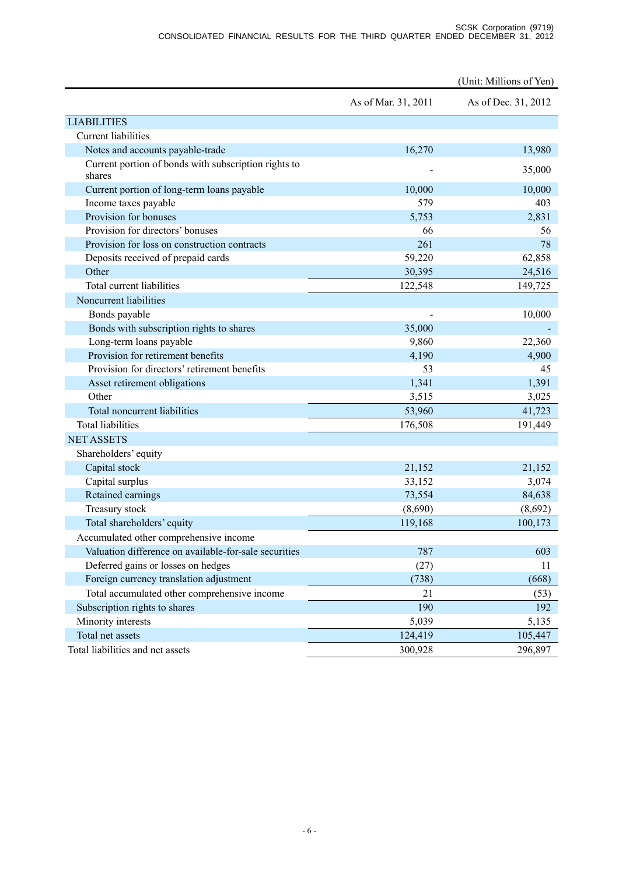|                                                       |                     | (Unit: Millions of Yen) |
|-------------------------------------------------------|---------------------|-------------------------|
|                                                       | As of Mar. 31, 2011 | As of Dec. 31, 2012     |
| <b>LIABILITIES</b>                                    |                     |                         |
| <b>Current liabilities</b>                            |                     |                         |
| Notes and accounts payable-trade                      | 16,270              | 13,980                  |
| Current portion of bonds with subscription rights to  |                     | 35,000                  |
| shares                                                |                     |                         |
| Current portion of long-term loans payable            | 10,000              | 10,000                  |
| Income taxes payable                                  | 579                 | 403                     |
| Provision for bonuses                                 | 5,753               | 2,831                   |
| Provision for directors' bonuses                      | 66                  | 56                      |
| Provision for loss on construction contracts          | 261                 | 78                      |
| Deposits received of prepaid cards                    | 59,220              | 62,858                  |
| Other                                                 | 30,395              | 24,516                  |
| Total current liabilities                             | 122,548             | 149,725                 |
| Noncurrent liabilities                                |                     |                         |
| Bonds payable                                         |                     | 10,000                  |
| Bonds with subscription rights to shares              | 35,000              |                         |
| Long-term loans payable                               | 9,860               | 22,360                  |
| Provision for retirement benefits                     | 4,190               | 4,900                   |
| Provision for directors' retirement benefits          | 53                  | 45                      |
| Asset retirement obligations                          | 1,341               | 1,391                   |
| Other                                                 | 3,515               | 3,025                   |
| Total noncurrent liabilities                          | 53,960              | 41,723                  |
| <b>Total liabilities</b>                              | 176,508             | 191,449                 |
| <b>NET ASSETS</b>                                     |                     |                         |
| Shareholders' equity                                  |                     |                         |
| Capital stock                                         | 21,152              | 21,152                  |
| Capital surplus                                       | 33,152              | 3,074                   |
| Retained earnings                                     | 73,554              | 84,638                  |
| Treasury stock                                        | (8,690)             | (8,692)                 |
| Total shareholders' equity                            | 119,168             | 100,173                 |
| Accumulated other comprehensive income                |                     |                         |
| Valuation difference on available-for-sale securities | 787                 | 603                     |
| Deferred gains or losses on hedges                    | (27)                | 11                      |
| Foreign currency translation adjustment               | (738)               | (668)                   |
| Total accumulated other comprehensive income          | 21                  | (53)                    |
| Subscription rights to shares                         | 190                 | 192                     |
| Minority interests                                    | 5,039               | 5,135                   |
| Total net assets                                      | 124,419             | 105,447                 |
| Total liabilities and net assets                      | 300,928             | 296,897                 |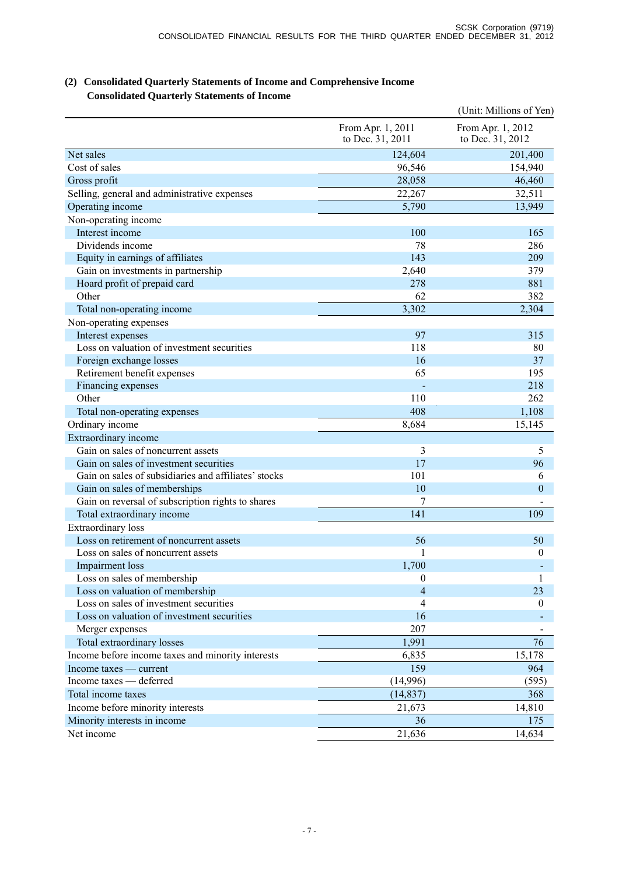# **(2) Consolidated Quarterly Statements of Income and Comprehensive Income Consolidated Quarterly Statements of Income**

|                                                      |                                       | (Unit: Millions of Yen)               |
|------------------------------------------------------|---------------------------------------|---------------------------------------|
|                                                      | From Apr. 1, 2011<br>to Dec. 31, 2011 | From Apr. 1, 2012<br>to Dec. 31, 2012 |
| Net sales                                            | 124,604                               | 201,400                               |
| Cost of sales                                        | 96,546                                | 154,940                               |
| Gross profit                                         | 28,058                                | 46,460                                |
| Selling, general and administrative expenses         | 22,267                                | 32,511                                |
| Operating income                                     | 5,790                                 | 13,949                                |
| Non-operating income                                 |                                       |                                       |
| Interest income                                      | 100                                   | 165                                   |
| Dividends income                                     | 78                                    | 286                                   |
| Equity in earnings of affiliates                     | 143                                   | 209                                   |
| Gain on investments in partnership                   | 2,640                                 | 379                                   |
| Hoard profit of prepaid card                         | 278                                   | 881                                   |
| Other                                                | 62                                    | 382                                   |
| Total non-operating income                           | 3,302                                 | 2,304                                 |
| Non-operating expenses                               |                                       |                                       |
| Interest expenses                                    | 97                                    | 315                                   |
| Loss on valuation of investment securities           | 118                                   | 80                                    |
| Foreign exchange losses                              | 16                                    | 37                                    |
| Retirement benefit expenses                          | 65                                    | 195                                   |
| Financing expenses                                   |                                       | 218                                   |
| Other                                                | 110                                   | 262                                   |
| Total non-operating expenses                         | 408                                   | 1,108                                 |
| Ordinary income                                      | 8,684                                 | 15,145                                |
| Extraordinary income                                 |                                       |                                       |
| Gain on sales of noncurrent assets                   | 3                                     | 5                                     |
| Gain on sales of investment securities               | 17                                    | 96                                    |
| Gain on sales of subsidiaries and affiliates' stocks | 101                                   | 6                                     |
| Gain on sales of memberships                         | 10                                    | $\mathbf{0}$                          |
| Gain on reversal of subscription rights to shares    | 7                                     |                                       |
| Total extraordinary income                           | 141                                   | 109                                   |
| Extraordinary loss                                   |                                       |                                       |
| Loss on retirement of noncurrent assets              | 56                                    | 50                                    |
| Loss on sales of noncurrent assets                   | 1                                     | $\boldsymbol{0}$                      |
| Impairment loss                                      | 1,700                                 |                                       |
| Loss on sales of membership                          | $\boldsymbol{0}$                      | 1                                     |
| Loss on valuation of membership                      | $\overline{4}$                        | 23                                    |
| Loss on sales of investment securities               | 4                                     | $\boldsymbol{0}$                      |
| Loss on valuation of investment securities           | 16                                    |                                       |
| Merger expenses                                      | 207                                   |                                       |
| Total extraordinary losses                           | 1,991                                 | 76                                    |
| Income before income taxes and minority interests    | 6,835                                 | 15,178                                |
| Income taxes — current                               | 159                                   | 964                                   |
| Income taxes — deferred                              | (14,996)                              | (595)                                 |
| Total income taxes                                   | (14, 837)                             | 368                                   |
| Income before minority interests                     | 21,673                                | 14,810                                |
| Minority interests in income                         | 36                                    | 175                                   |
| Net income                                           | 21,636                                | 14,634                                |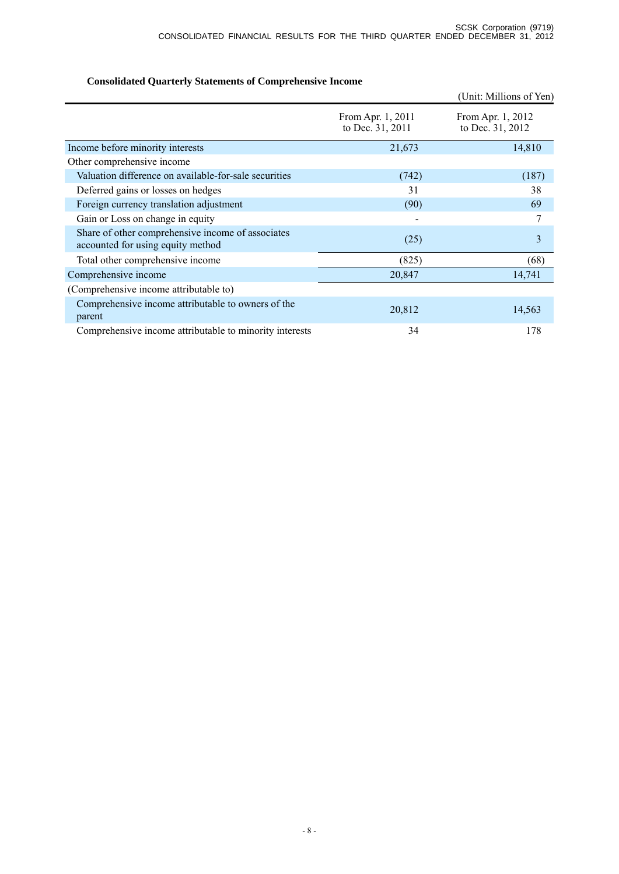# **Consolidated Quarterly Statements of Comprehensive Income**

|                                                                                        |                                       | (Unit: Millions of Yen)               |
|----------------------------------------------------------------------------------------|---------------------------------------|---------------------------------------|
|                                                                                        | From Apr. 1, 2011<br>to Dec. 31, 2011 | From Apr. 1, 2012<br>to Dec. 31, 2012 |
| Income before minority interests                                                       | 21,673                                | 14,810                                |
| Other comprehensive income                                                             |                                       |                                       |
| Valuation difference on available-for-sale securities                                  | (742)                                 | (187)                                 |
| Deferred gains or losses on hedges                                                     | 31                                    | 38                                    |
| Foreign currency translation adjustment                                                | (90)                                  | 69                                    |
| Gain or Loss on change in equity                                                       |                                       | 7                                     |
| Share of other comprehensive income of associates<br>accounted for using equity method | (25)                                  | 3                                     |
| Total other comprehensive income                                                       | (825)                                 | (68)                                  |
| Comprehensive income                                                                   | 20,847                                | 14,741                                |
| (Comprehensive income attributable to)                                                 |                                       |                                       |
| Comprehensive income attributable to owners of the<br>parent                           | 20,812                                | 14,563                                |
| Comprehensive income attributable to minority interests                                | 34                                    | 178                                   |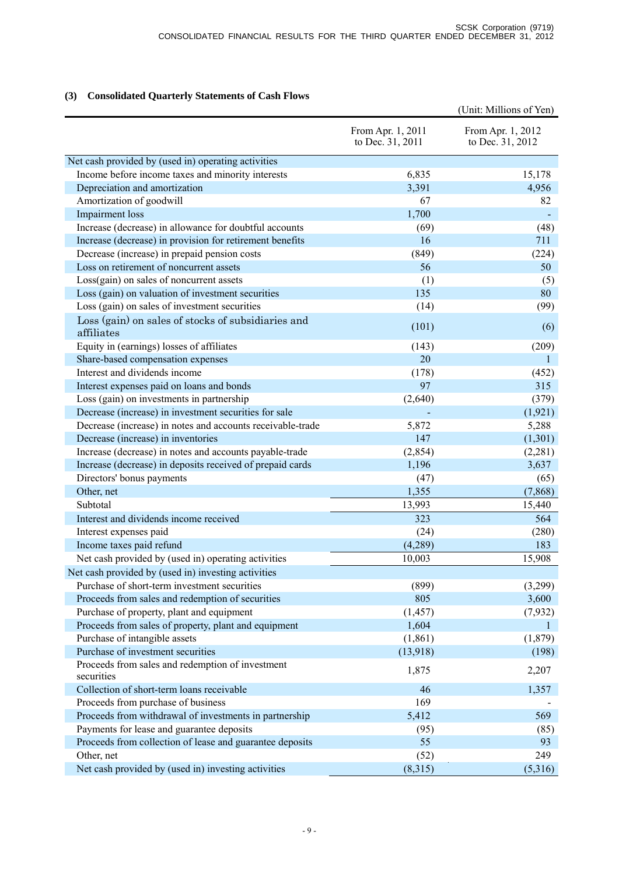## **(3) Consolidated Quarterly Statements of Cash Flows**

|                                                            |                                       | (Unit: Millions of Yen)               |
|------------------------------------------------------------|---------------------------------------|---------------------------------------|
|                                                            | From Apr. 1, 2011<br>to Dec. 31, 2011 | From Apr. 1, 2012<br>to Dec. 31, 2012 |
| Net cash provided by (used in) operating activities        |                                       |                                       |
| Income before income taxes and minority interests          | 6,835                                 | 15,178                                |
| Depreciation and amortization                              | 3,391                                 | 4,956                                 |
| Amortization of goodwill                                   | 67                                    | 82                                    |
| Impairment loss                                            | 1,700                                 |                                       |
| Increase (decrease) in allowance for doubtful accounts     | (69)                                  | (48)                                  |
| Increase (decrease) in provision for retirement benefits   | 16                                    | 711                                   |
| Decrease (increase) in prepaid pension costs               | (849)                                 | (224)                                 |
| Loss on retirement of noncurrent assets                    | 56                                    | 50                                    |
| Loss(gain) on sales of noncurrent assets                   | (1)                                   | (5)                                   |
| Loss (gain) on valuation of investment securities          | 135                                   | 80                                    |
| Loss (gain) on sales of investment securities              | (14)                                  | (99)                                  |
| Loss (gain) on sales of stocks of subsidiaries and         |                                       |                                       |
| affiliates                                                 | (101)                                 | (6)                                   |
| Equity in (earnings) losses of affiliates                  | (143)                                 | (209)                                 |
| Share-based compensation expenses                          | 20                                    | 1                                     |
| Interest and dividends income                              | (178)                                 | (452)                                 |
| Interest expenses paid on loans and bonds                  | 97                                    | 315                                   |
| Loss (gain) on investments in partnership                  | (2,640)                               | (379)                                 |
| Decrease (increase) in investment securities for sale      |                                       | (1, 921)                              |
| Decrease (increase) in notes and accounts receivable-trade | 5,872                                 | 5,288                                 |
| Decrease (increase) in inventories                         | 147                                   | (1,301)                               |
| Increase (decrease) in notes and accounts payable-trade    | (2, 854)                              | (2,281)                               |
| Increase (decrease) in deposits received of prepaid cards  | 1,196                                 | 3,637                                 |
| Directors' bonus payments                                  | (47)                                  | (65)                                  |
| Other, net                                                 | 1,355                                 | (7,868)                               |
| Subtotal                                                   | 13,993                                | 15,440                                |
| Interest and dividends income received                     | 323                                   | 564                                   |
| Interest expenses paid                                     | (24)                                  | (280)                                 |
| Income taxes paid refund                                   | (4,289)                               | 183                                   |
| Net cash provided by (used in) operating activities        | 10,003                                | 15,908                                |
| Net cash provided by (used in) investing activities        |                                       |                                       |
| Purchase of short-term investment securities               | (899)                                 | (3,299)                               |
| Proceeds from sales and redemption of securities           | 805                                   | 3,600                                 |
| Purchase of property, plant and equipment                  | (1, 457)                              | (7,932)                               |
| Proceeds from sales of property, plant and equipment       | 1,604                                 | 1                                     |
| Purchase of intangible assets                              | (1, 861)                              | (1, 879)                              |
| Purchase of investment securities                          | (13,918)                              | (198)                                 |
| Proceeds from sales and redemption of investment           |                                       |                                       |
| securities                                                 | 1,875                                 | 2,207                                 |
| Collection of short-term loans receivable                  | 46                                    | 1,357                                 |
| Proceeds from purchase of business                         | 169                                   |                                       |
| Proceeds from withdrawal of investments in partnership     | 5,412                                 | 569                                   |
| Payments for lease and guarantee deposits                  | (95)                                  | (85)                                  |
| Proceeds from collection of lease and guarantee deposits   | 55                                    | 93                                    |
| Other, net                                                 | (52)                                  | 249                                   |
| Net cash provided by (used in) investing activities        | (8,315)                               | (5,316)                               |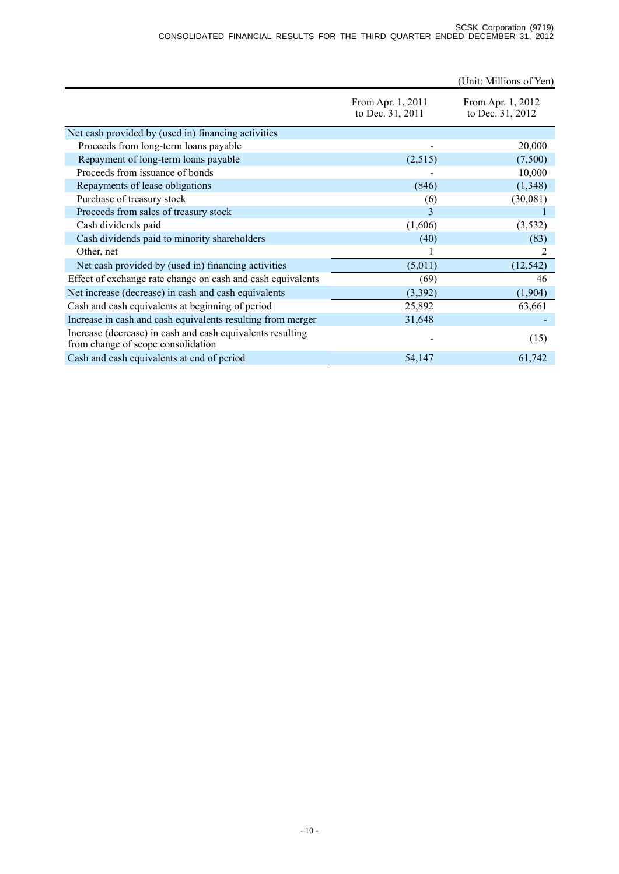|                                                                                                  |                                       | (Unit: Millions of Yen)               |
|--------------------------------------------------------------------------------------------------|---------------------------------------|---------------------------------------|
|                                                                                                  | From Apr. 1, 2011<br>to Dec. 31, 2011 | From Apr. 1, 2012<br>to Dec. 31, 2012 |
| Net cash provided by (used in) financing activities                                              |                                       |                                       |
| Proceeds from long-term loans payable                                                            |                                       | 20,000                                |
| Repayment of long-term loans payable                                                             | (2,515)                               | (7,500)                               |
| Proceeds from issuance of bonds                                                                  |                                       | 10,000                                |
| Repayments of lease obligations                                                                  | (846)                                 | (1,348)                               |
| Purchase of treasury stock                                                                       | (6)                                   | (30,081)                              |
| Proceeds from sales of treasury stock                                                            | 3                                     |                                       |
| Cash dividends paid                                                                              | (1,606)                               | (3,532)                               |
| Cash dividends paid to minority shareholders                                                     | (40)                                  | (83)                                  |
| Other, net                                                                                       |                                       | 2                                     |
| Net cash provided by (used in) financing activities                                              | (5,011)                               | (12, 542)                             |
| Effect of exchange rate change on cash and cash equivalents                                      | (69)                                  | 46                                    |
| Net increase (decrease) in cash and cash equivalents                                             | (3,392)                               | (1,904)                               |
| Cash and cash equivalents at beginning of period                                                 | 25,892                                | 63,661                                |
| Increase in cash and cash equivalents resulting from merger                                      | 31,648                                |                                       |
| Increase (decrease) in cash and cash equivalents resulting<br>from change of scope consolidation |                                       | (15)                                  |
| Cash and cash equivalents at end of period                                                       | 54,147                                | 61,742                                |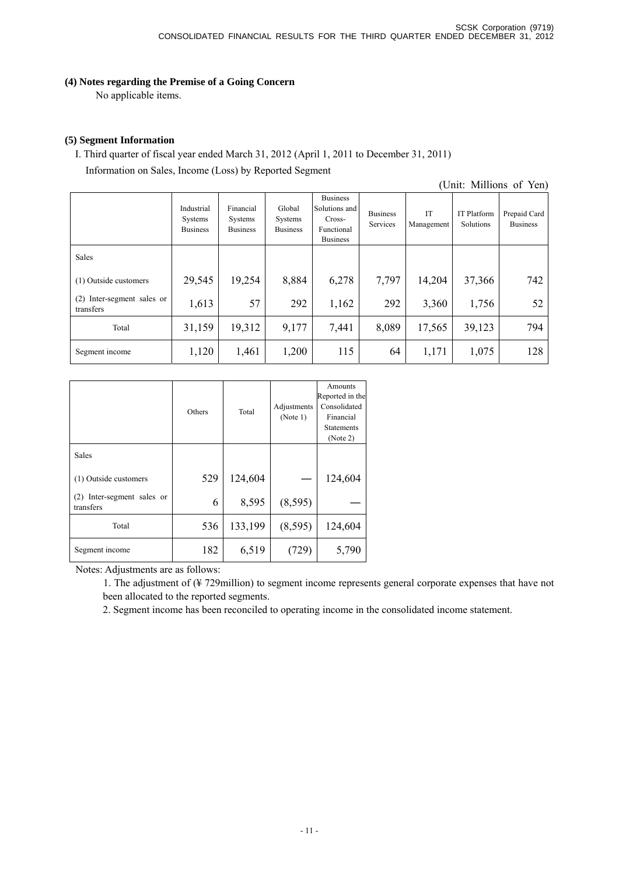## **(4) Notes regarding the Premise of a Going Concern**

No applicable items.

## **(5) Segment Information**

I. Third quarter of fiscal year ended March 31, 2012 (April 1, 2011 to December 31, 2011) Information on Sales, Income (Loss) by Reported Segment

(Unit: Millions of Yen)

|                                         | Industrial<br>Systems<br><b>Business</b> | Financial<br>Systems<br><b>Business</b> | Global<br>Systems<br><b>Business</b> | <b>Business</b><br>Solutions and<br>Cross-<br>Functional<br><b>Business</b> | <b>Business</b><br>Services | IT<br>Management | <b>IT Platform</b><br>Solutions | Prepaid Card<br><b>Business</b> |
|-----------------------------------------|------------------------------------------|-----------------------------------------|--------------------------------------|-----------------------------------------------------------------------------|-----------------------------|------------------|---------------------------------|---------------------------------|
| Sales                                   |                                          |                                         |                                      |                                                                             |                             |                  |                                 |                                 |
| (1) Outside customers                   | 29,545                                   | 19,254                                  | 8,884                                | 6,278                                                                       | 7,797                       | 14,204           | 37,366                          | 742                             |
| (2) Inter-segment sales or<br>transfers | 1,613                                    | 57                                      | 292                                  | 1,162                                                                       | 292                         | 3,360            | 1,756                           | 52                              |
| Total                                   | 31,159                                   | 19,312                                  | 9,177                                | 7,441                                                                       | 8,089                       | 17,565           | 39,123                          | 794                             |
| Segment income                          | 1,120                                    | 1,461                                   | 1,200                                | 115                                                                         | 64                          | 1,171            | 1,075                           | 128                             |

|                                            | Others | Total   | Adjustments<br>(Note 1) | Amounts<br>Reported in the<br>Consolidated<br>Financial<br><b>Statements</b><br>(Note 2) |
|--------------------------------------------|--------|---------|-------------------------|------------------------------------------------------------------------------------------|
| Sales                                      |        |         |                         |                                                                                          |
| (1) Outside customers                      | 529    | 124,604 |                         | 124,604                                                                                  |
| Inter-segment sales or<br>(2)<br>transfers | 6      | 8,595   | (8, 595)                |                                                                                          |
| Total                                      | 536    | 133,199 | (8, 595)                | 124,604                                                                                  |
| Segment income                             | 182    | 6,519   |                         | 5,790                                                                                    |

Notes: Adjustments are as follows:

1. The adjustment of (¥ 729million) to segment income represents general corporate expenses that have not been allocated to the reported segments.

2. Segment income has been reconciled to operating income in the consolidated income statement.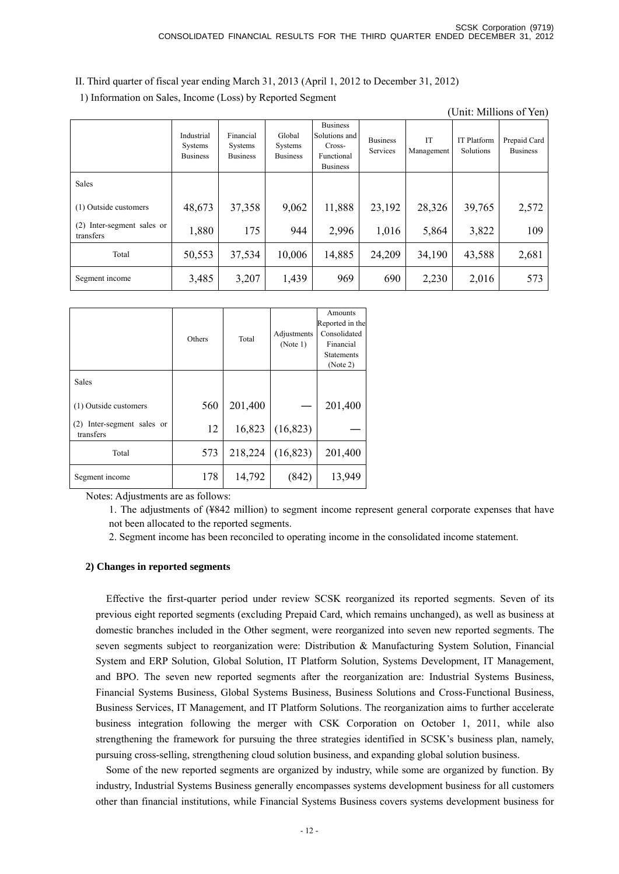II. Third quarter of fiscal year ending March 31, 2013 (April 1, 2012 to December 31, 2012)

1) Information on Sales, Income (Loss) by Reported Segment

(Unit: Millions of Yen)

|                                         | Industrial<br>Systems<br><b>Business</b> | Financial<br>Systems<br><b>Business</b> | Global<br>Systems<br><b>Business</b> | <b>Business</b><br>Solutions and<br>Cross-<br>Functional<br><b>Business</b> | <b>Business</b><br>Services | IT<br>Management | <b>IT Platform</b><br>Solutions | Prepaid Card<br><b>Business</b> |
|-----------------------------------------|------------------------------------------|-----------------------------------------|--------------------------------------|-----------------------------------------------------------------------------|-----------------------------|------------------|---------------------------------|---------------------------------|
| Sales                                   |                                          |                                         |                                      |                                                                             |                             |                  |                                 |                                 |
| (1) Outside customers                   | 48,673                                   | 37,358                                  | 9,062                                | 11,888                                                                      | 23,192                      | 28,326           | 39,765                          | 2,572                           |
| (2) Inter-segment sales or<br>transfers | 1,880                                    | 175                                     | 944                                  | 2,996                                                                       | 1,016                       | 5,864            | 3,822                           | 109                             |
| Total                                   | 50,553                                   | 37,534                                  | 10,006                               | 14,885                                                                      | 24,209                      | 34,190           | 43,588                          | 2,681                           |
| Segment income                          | 3,485                                    | 3,207                                   | 1,439                                | 969                                                                         | 690                         | 2,230            | 2,016                           | 573                             |

|                                            | Others | Total   | Adjustments<br>(Note 1) | Amounts<br>Reported in the<br>Consolidated<br>Financial<br><b>Statements</b><br>(Note 2) |
|--------------------------------------------|--------|---------|-------------------------|------------------------------------------------------------------------------------------|
| <b>Sales</b>                               |        |         |                         |                                                                                          |
| (1) Outside customers                      | 560    | 201,400 |                         | 201,400                                                                                  |
| Inter-segment sales or<br>(2)<br>transfers | 12     | 16,823  | (16, 823)               |                                                                                          |
| Total                                      | 573    | 218,224 | (16, 823)               | 201,400                                                                                  |
| Segment income                             | 178    | 14,792  | (842)                   | 13,949                                                                                   |

Notes: Adjustments are as follows:

1. The adjustments of (¥842 million) to segment income represent general corporate expenses that have not been allocated to the reported segments.

2. Segment income has been reconciled to operating income in the consolidated income statement.

### **2) Changes in reported segments**

Effective the first-quarter period under review SCSK reorganized its reported segments. Seven of its previous eight reported segments (excluding Prepaid Card, which remains unchanged), as well as business at domestic branches included in the Other segment, were reorganized into seven new reported segments. The seven segments subject to reorganization were: Distribution & Manufacturing System Solution, Financial System and ERP Solution, Global Solution, IT Platform Solution, Systems Development, IT Management, and BPO. The seven new reported segments after the reorganization are: Industrial Systems Business, Financial Systems Business, Global Systems Business, Business Solutions and Cross-Functional Business, Business Services, IT Management, and IT Platform Solutions. The reorganization aims to further accelerate business integration following the merger with CSK Corporation on October 1, 2011, while also strengthening the framework for pursuing the three strategies identified in SCSK's business plan, namely, pursuing cross-selling, strengthening cloud solution business, and expanding global solution business.

Some of the new reported segments are organized by industry, while some are organized by function. By industry, Industrial Systems Business generally encompasses systems development business for all customers other than financial institutions, while Financial Systems Business covers systems development business for